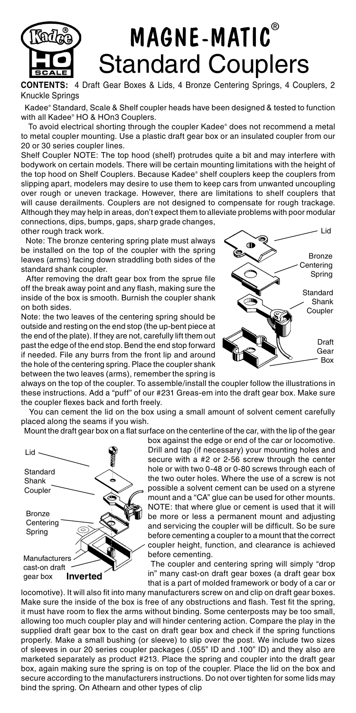

## MAGNE-MATIC® Standard Couplers

**CONTENTS:** 4 Draft Gear Boxes & Lids, 4 Bronze Centering Springs, 4 Couplers, 2 Knuckle Springs

 Kadee® Standard, Scale & Shelf coupler heads have been designed & tested to function with all Kadee® HO & HOn3 Couplers.

 To avoid electrical shorting through the coupler Kadee® does not recommend a metal to metal coupler mounting. Use a plastic draft gear box or an insulated coupler from our 20 or 30 series coupler lines.

Shelf Coupler NOTE: The top hood (shelf) protrudes quite a bit and may interfere with bodywork on certain models. There will be certain mounting limitations with the height of the top hood on Shelf Couplers. Because Kadee® shelf couplers keep the couplers from slipping apart, modelers may desire to use them to keep cars from unwanted uncoupling over rough or uneven trackage. However, there are limitations to shelf couplers that will cause derailments. Couplers are not designed to compensate for rough trackage. Although they may help in areas, don't expect them to alleviate problems with poor modular connections, dips, bumps, gaps, sharp grade changes,

other rough track work. Note: The bronze centering spring plate must always be installed on the top of the coupler with the spring leaves (arms) facing down straddling both sides of the standard shank coupler.

 After removing the draft gear box from the sprue file off the break away point and any flash, making sure the inside of the box is smooth. Burnish the coupler shank on both sides.

Note: the two leaves of the centering spring should be outside and resting on the end stop (the up-bent piece at the end of the plate). If they are not, carefully lift them out past the edge of the end stop. Bend the end stop forward if needed. File any burrs from the front lip and around the hole of the centering spring. Place the coupler shank between the two leaves (arms), remember the spring is



always on the top of the coupler. To assemble/install the coupler follow the illustrations in these instructions. Add a "puff" of our #231 Greas-em into the draft gear box. Make sure the coupler flexes back and forth freely.

 You can cement the lid on the box using a small amount of solvent cement carefully placed along the seams if you wish.

Mount the draft gear box on a flat surface on the centerline of the car, with the lip of the gear



box against the edge or end of the car or locomotive. Drill and tap (if necessary) your mounting holes and secure with a #2 or 2-56 screw through the center hole or with two 0-48 or 0-80 screws through each of the two outer holes. Where the use of a screw is not possible a solvent cement can be used on a styrene mount and a "CA" glue can be used for other mounts. NOTE: that where glue or cement is used that it will be more or less a permanent mount and adjusting and servicing the coupler will be difficult. So be sure before cementing a coupler to a mount that the correct coupler height, function, and clearance is achieved before cementing.

 The coupler and centering spring will simply "drop in" many cast-on draft gear boxes (a draft gear box that is a part of molded framework or body of a car or

locomotive). It will also fit into many manufacturers screw on and clip on draft gear boxes. Make sure the inside of the box is free of any obstructions and flash. Test fit the spring, it must have room to flex the arms without binding. Some centerposts may be too small, allowing too much coupler play and will hinder centering action. Compare the play in the supplied draft gear box to the cast on draft gear box and check if the spring functions properly. Make a small bushing (or sleeve) to slip over the post. We include two sizes of sleeves in our 20 series coupler packages (.055" ID and .100" ID) and they also are marketed separately as product #213. Place the spring and coupler into the draft gear box, again making sure the spring is on top of the coupler. Place the lid on the box and secure according to the manufacturers instructions. Do not over tighten for some lids may bind the spring. On Athearn and other types of clip